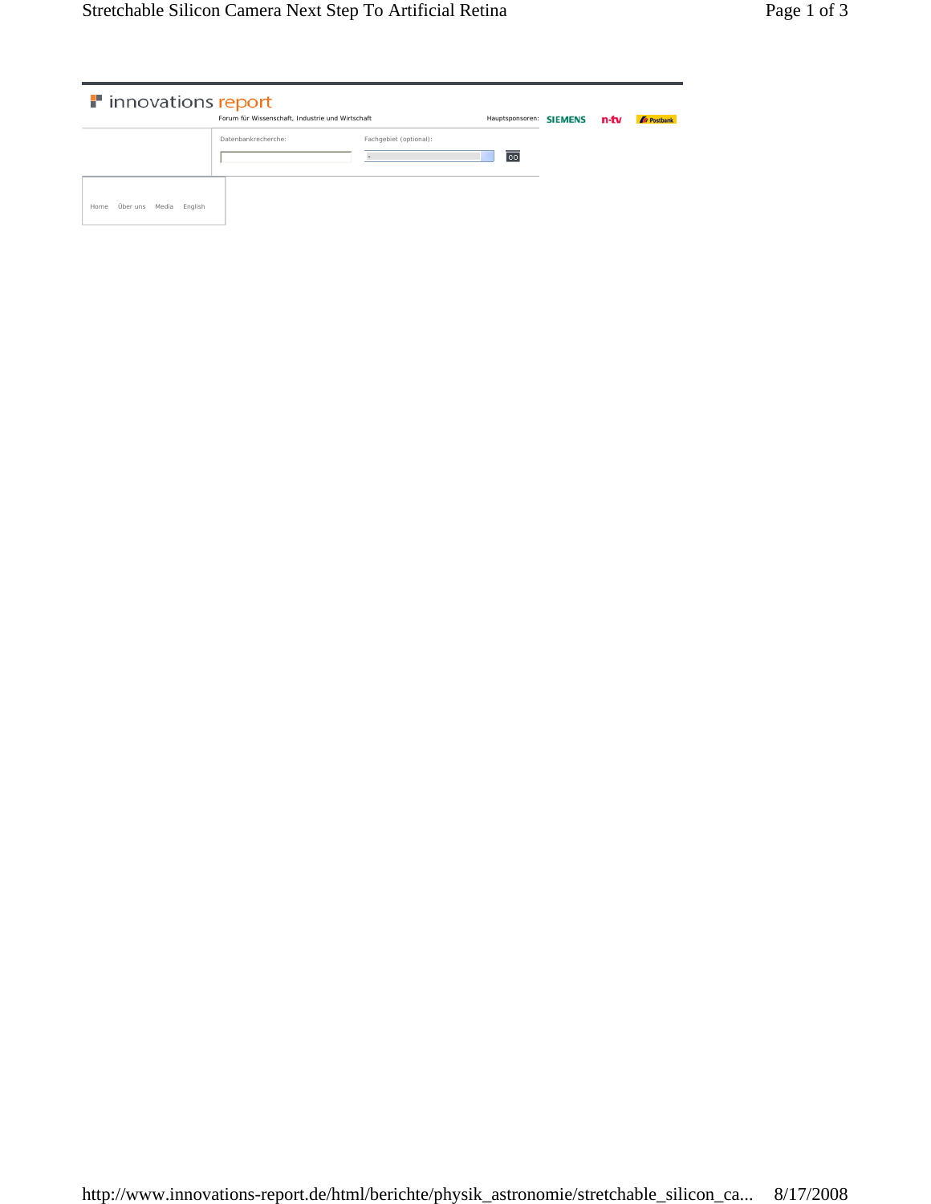| illering innovations report          |                                                  |                        |                         |  |      |                          |
|--------------------------------------|--------------------------------------------------|------------------------|-------------------------|--|------|--------------------------|
|                                      | Forum für Wissenschaft, Industrie und Wirtschaft |                        | Hauptsponsoren: SIEMENS |  | n-tv | <b><i>D</i></b> Postbank |
|                                      | Datenbankrecherche:                              | Fachgebiet (optional): |                         |  |      |                          |
|                                      |                                                  | $\sim$                 | 60                      |  |      |                          |
| Über uns<br>Media<br>English<br>Home |                                                  |                        |                         |  |      |                          |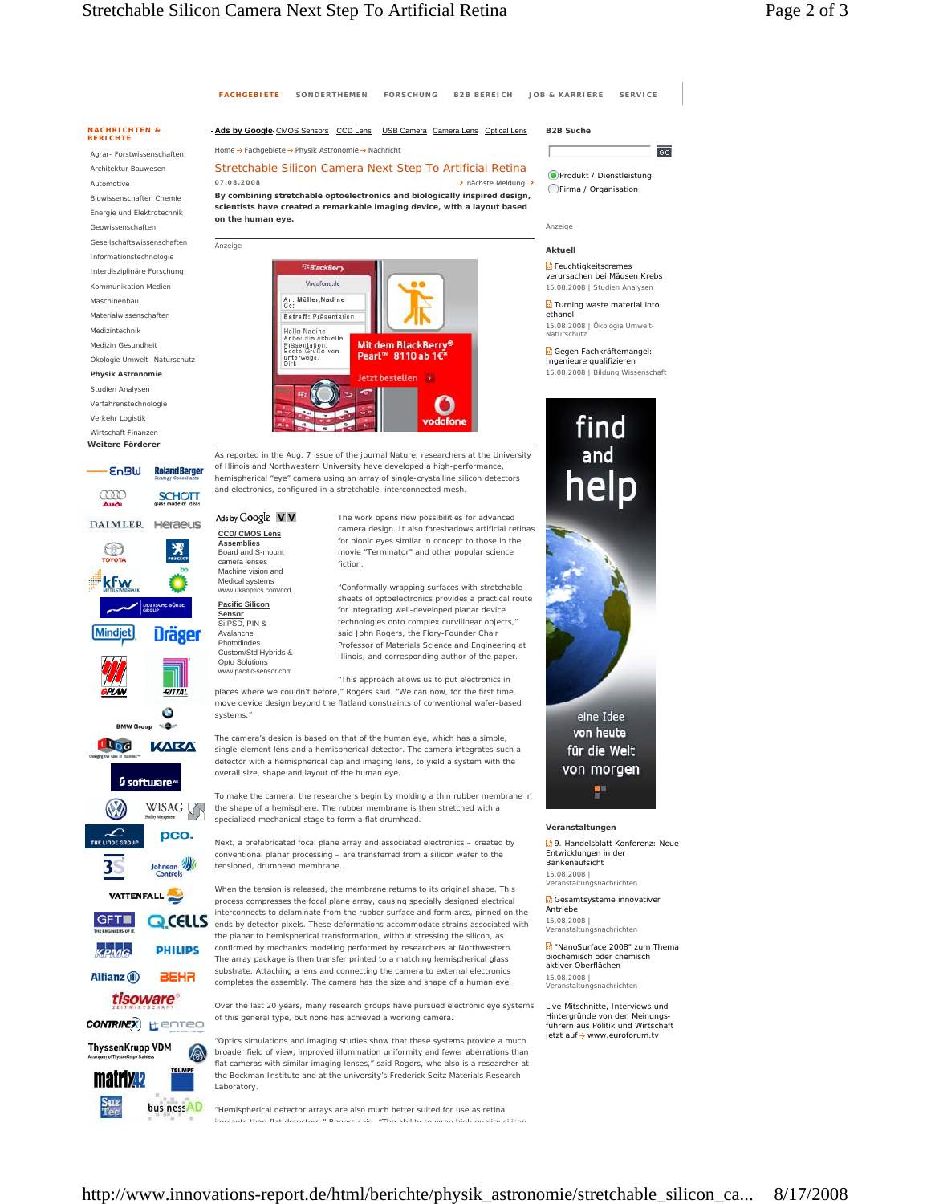छा



http://www.innovations-report.de/html/berichte/physik\_astronomie/stretchable\_silicon\_ca... 8/17/2008

chrichten

eine Idee

von heute

r

find and

chrichten